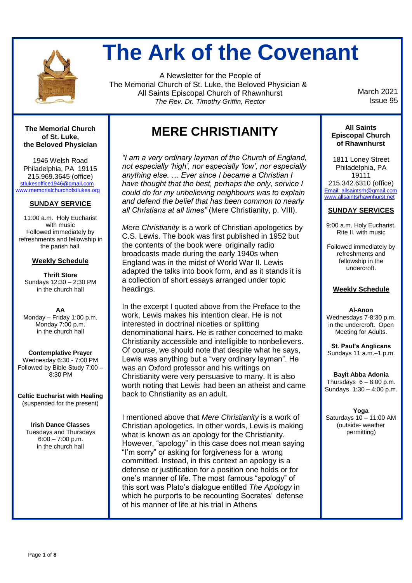

# **The Ark of the Covenant**

A Newsletter for the People of The Memorial Church of St. Luke, the Beloved Physician & All Saints Episcopal Church of Rhawnhurst *The Rev. Dr. Timothy Griffin, Rector*

 March 2021 Issue 95

**The Memorial Church of St. Luke, the Beloved Physician**

1946 Welsh Road Philadelphia, PA 19115 215.969.3645 (office) [stlukesoffice1946@gmail.com](mailto:stlukesoffice1946@gmail.com) [www.memorialchurchofstlukes.org](http://www.memorialchurchofstlukes.org/)

#### **SUNDAY SERVICE**

11:00 a.m. Holy Eucharist with music Followed immediately by refreshments and fellowship in the parish hall.

#### **Weekly Schedule**

**Thrift Store** Sundays 12:30 – 2:30 PM in the church hall

**AA** Monday – Friday 1:00 p.m. Monday 7:00 p.m. in the church hall

**Contemplative Prayer** Wednesday 6:30 - 7:00 PM Followed by Bible Study 7:00 – 8:30 PM

**Celtic Eucharist with Healing** (suspended for the present)

**Irish Dance Classes** Tuesdays and Thursdays  $6:00 - 7:00$  p.m. in the church hall

### **MERE CHRISTIANITY**

*"I am a very ordinary layman of the Church of England, not especially 'high', nor especially 'low', nor especially anything else. … Ever since I became a Christian I have thought that the best, perhaps the only, service I could do for my unbelieving neighbours was to explain and defend the belief that has been common to nearly all Christians at all times"* (Mere Christianity, p. VIII).

*Mere Christianity* is a work of Christian apologetics by C.S. Lewis. The book was first published in 1952 but the contents of the book were originally radio broadcasts made during the early 1940s when England was in the midst of World War II. Lewis adapted the talks into book form, and as it stands it is a collection of short essays arranged under topic headings.

In the excerpt I quoted above from the Preface to the work, Lewis makes his intention clear. He is not interested in doctrinal niceties or splitting denominational hairs. He is rather concerned to make Christianity accessible and intelligible to nonbelievers. Of course, we should note that despite what he says, Lewis was anything but a "very ordinary layman". He was an Oxford professor and his writings on Christianity were very persuasive to many. It is also worth noting that Lewis had been an atheist and came back to Christianity as an adult.

I mentioned above that *Mere Christianity* is a work of Christian apologetics. In other words, Lewis is making what is known as an apology for the Christianity. However, "apology" in this case does not mean saying "I'm sorry" or asking for forgiveness for a wrong committed. Instead, in this context an apology is a defense or justification for a position one holds or for one's manner of life. The most famous "apology" of this sort was Plato's dialogue entitled *The Apology* in which he purports to be recounting Socrates' defense of his manner of life at his trial in Athens

#### **All Saints Episcopal Church of Rhawnhurst**

1811 Loney Street Philadelphia, PA 19111 215.342.6310 (office) Email: allsaintsrh@gmail.com www.allsaintsrhawnhurst.net

#### **SUNDAY SERVICES**

9:00 a.m. Holy Eucharist, Rite II, with music

Followed immediately by refreshments and fellowship in the undercroft.

#### **Weekly Schedule**

**Al-Anon** Wednesdays 7-8:30 p.m. in the undercroft. Open Meeting for Adults.

**St. Paul's Anglicans** Sundays 11 a.m.–1 p.m.

**Bayit Abba Adonia** Thursdays  $6 - 8:00$  p.m. Sundays 1:30 – 4:00 p.m.

**Yoga** Saturdays 10 – 11:00 AM (outside- weather permitting)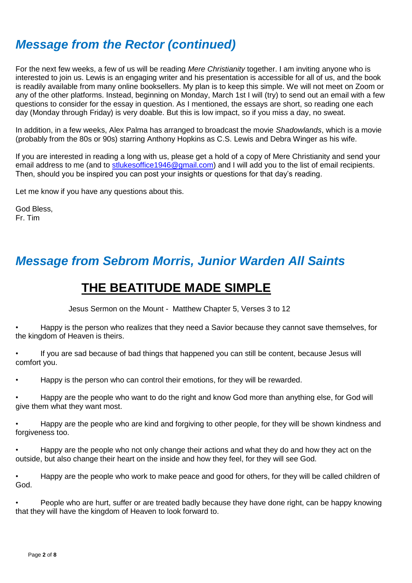# *Message from the Rector (continued)*

For the next few weeks, a few of us will be reading *Mere Christianity* together. I am inviting anyone who is interested to join us. Lewis is an engaging writer and his presentation is accessible for all of us, and the book is readily available from many online booksellers. My plan is to keep this simple. We will not meet on Zoom or any of the other platforms. Instead, beginning on Monday, March 1st I will (try) to send out an email with a few questions to consider for the essay in question. As I mentioned, the essays are short, so reading one each day (Monday through Friday) is very doable. But this is low impact, so if you miss a day, no sweat.

In addition, in a few weeks, Alex Palma has arranged to broadcast the movie *Shadowlands*, which is a movie (probably from the 80s or 90s) starring Anthony Hopkins as C.S. Lewis and Debra Winger as his wife.

If you are interested in reading a long with us, please get a hold of a copy of Mere Christianity and send your email address to me (and to [stlukesoffice1946@gmail.com\)](mailto:stlukesoffice1946@gmail.com) and I will add you to the list of email recipients. Then, should you be inspired you can post your insights or questions for that day's reading.

Let me know if you have any questions about this.

God Bless, Fr. Tim

# *Message from Sebrom Morris, Junior Warden All Saints*

### **THE BEATITUDE MADE SIMPLE**

Jesus Sermon on the Mount - Matthew Chapter 5, Verses 3 to 12

• Happy is the person who realizes that they need a Savior because they cannot save themselves, for the kingdom of Heaven is theirs.

• If you are sad because of bad things that happened you can still be content, because Jesus will comfort you.

• Happy is the person who can control their emotions, for they will be rewarded.

• Happy are the people who want to do the right and know God more than anything else, for God will give them what they want most.

• Happy are the people who are kind and forgiving to other people, for they will be shown kindness and forgiveness too.

• Happy are the people who not only change their actions and what they do and how they act on the outside, but also change their heart on the inside and how they feel, for they will see God.

• Happy are the people who work to make peace and good for others, for they will be called children of God.

• People who are hurt, suffer or are treated badly because they have done right, can be happy knowing that they will have the kingdom of Heaven to look forward to.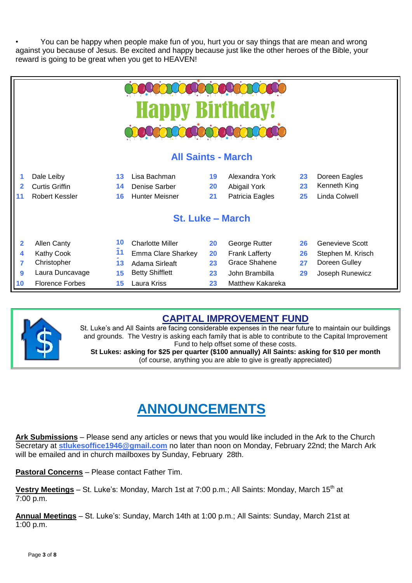• You can be happy when people make fun of you, hurt you or say things that are mean and wrong against you because of Jesus. Be excited and happy because just like the other heroes of the Bible, your reward is going to be great when you get to HEAVEN!

| <b>Happy Birthday!</b>    |                        |    |                         |    |                         |    |                   |
|---------------------------|------------------------|----|-------------------------|----|-------------------------|----|-------------------|
| <b>All Saints - March</b> |                        |    |                         |    |                         |    |                   |
|                           | Dale Leiby             | 13 | Lisa Bachman            | 19 | Alexandra York          | 23 | Doreen Eagles     |
|                           | <b>Curtis Griffin</b>  | 14 | Denise Sarber           | 20 | Abigail York            | 23 | Kenneth King      |
|                           | Robert Kessler         | 16 | <b>Hunter Meisner</b>   | 21 | Patricia Eagles         | 25 | Linda Colwell     |
| <b>St. Luke - March</b>   |                        |    |                         |    |                         |    |                   |
| $\overline{2}$            | <b>Allen Canty</b>     | 10 | <b>Charlotte Miller</b> | 20 | George Rutter           | 26 | Genevieve Scott   |
| 4                         | Kathy Cook             | 11 | Emma Clare Sharkey      | 20 | <b>Frank Lafferty</b>   | 26 | Stephen M. Krisch |
| 7                         | Christopher            | 13 | Adama Sirleaft          | 23 | <b>Grace Shahene</b>    | 27 | Doreen Gulley     |
| 9                         | Laura Duncavage        | 15 | <b>Betty Shifflett</b>  | 23 | John Brambilla          | 29 | Joseph Runewicz   |
| 10                        | <b>Florence Forbes</b> | 15 | Laura Kriss             | 23 | <b>Matthew Kakareka</b> |    |                   |



### **CAPITAL IMPROVEMENT FUND**

St. Luke's and All Saints are facing considerable expenses in the near future to maintain our buildings and grounds. The Vestry is asking each family that is able to contribute to the Capital Improvement Fund to help offset some of these costs.

**St Lukes: asking for \$25 per quarter (\$100 annually) All Saints: asking for \$10 per month** (of course, anything you are able to give is greatly appreciated)

# **ANNOUNCEMENTS**

**Ark Submissions** – Please send any articles or news that you would like included in the Ark to the Church Secretary at **[stlukesoffice1946@gmail.com](mailto:stlukesoffice1946@gmail.com)** no later than noon on Monday, February 22nd; the March Ark will be emailed and in church mailboxes by Sunday, February 28th.

**Pastoral Concerns** – Please contact Father Tim.

**Vestry Meetings** – St. Luke's: Monday, March 1st at 7:00 p.m.; All Saints: Monday, March 15<sup>th</sup> at 7:00 p.m.

**Annual Meetings** – St. Luke's: Sunday, March 14th at 1:00 p.m.; All Saints: Sunday, March 21st at 1:00 p.m.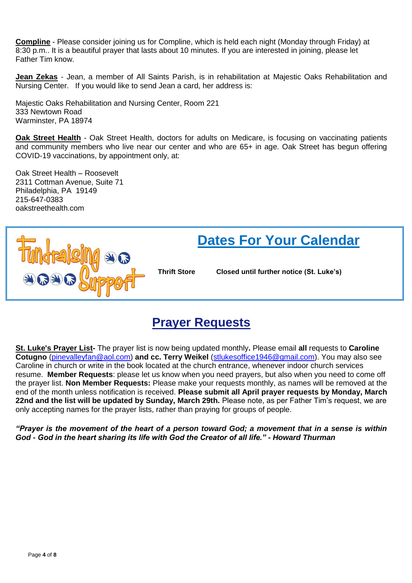**Compline** - Please consider joining us for Compline, which is held each night (Monday through Friday) at 8:30 p.m.. It is a beautiful prayer that lasts about 10 minutes. If you are interested in joining, please let Father Tim know.

**Jean Zekas** - Jean, a member of All Saints Parish, is in rehabilitation at Majestic Oaks Rehabilitation and Nursing Center. If you would like to send Jean a card, her address is:

Majestic Oaks Rehabilitation and Nursing Center, Room 221 333 Newtown Road Warminster, PA 18974

**Oak Street Health** - Oak Street Health, doctors for adults on Medicare, is focusing on vaccinating patients and community members who live near our center and who are 65+ in age. Oak Street has begun offering COVID-19 vaccinations, by appointment only, at:

Oak Street Health – Roosevelt 2311 Cottman Avenue, Suite 71 Philadelphia, PA 19149 215-647-0383 oakstreethealth.com



### **Prayer Requests**

**St. Luke's Prayer List-** The prayer list is now being updated monthly**.** Please email **all** requests to **Caroline Cotugno** [\(pinevalleyfan@aol.com\)](mailto:pinevalleyfan@aol.com) **and cc. Terry Weikel** [\(stlukesoffice1946@gmail.com\)](mailto:stlukesoffice1946@gmail.com). You may also see Caroline in church or write in the book located at the church entrance, whenever indoor church services resume. **Member Requests**: please let us know when you need prayers, but also when you need to come off the prayer list. **Non Member Requests:** Please make your requests monthly, as names will be removed at the end of the month unless notification is received. **Please submit all April prayer requests by Monday, March 22nd and the list will be updated by Sunday, March 29th.** Please note, as per Father Tim's request, we are only accepting names for the prayer lists, rather than praying for groups of people.

*"Prayer is the movement of the heart of a person toward God; a movement that in a sense is within God - God in the heart sharing its life with God the Creator of all life." - Howard Thurman*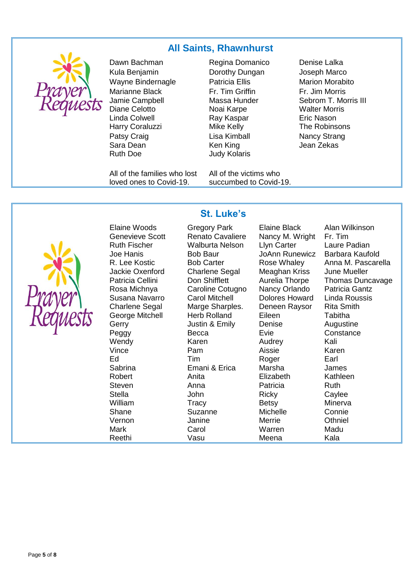#### **All Saints, Rhawnhurst**



Dawn Bachman **Regina Domanico** Denise Lalka Kula Benjamin Dorothy Dungan Joseph Marco Wayne Bindernagle **Natricia Ellis** Marion Morabito Marianne Black Jamie Campbell Diane Celotto Linda Colwell Harry Coraluzzi **Mike Kelly** The Robinsons Patsy Craig Sara Dean

Ruth Doe **Judy Kolaris** 

All of the families who lost loved ones to Covid-19.

Fr. Tim Griffin Massa Hunder Noai Karpe Ray Kaspar Lisa Kimball Ken King

All of the victims who succumbed to Covid-19. Fr. Jim Morris Sebrom T. Morris III Walter Morris Eric Nason Nancy Strang Jean Zekas



**Wendy** Vince Vernon Mark

### **St. Luke's**

Genevieve Scott Renato Cavaliere Nancy M. Wright Fr. Tim Ruth Fischer Walburta Nelson Llyn Carter Laure Padian<br>Joe Hanis Bob Baur JoAnn Runewicz Barbara Kaufold Joe Hanis **Bob Baur** Baufold Barbara Kaufold Barbara Kaufold Barbara Kaufold Barbara Kara Kare Kare Kare Kare K Charlene Segal Meaghan Kriss June Mueller Rosa Michnya Caroline Cotugno Nancy Orlando Patricia Gantz Susana Navarro Carol Mitchell Dolores Howard Linda Roussis Charlene Segal Marge Sharples. Deneen Raysor Rita Smith George Mitchell Herb Rolland Eileen Tabitha Gerry **Gerry Manufation** Justin & Emily **Denise** Augustine Peggy Becca Evie Constance Karen Pam Ed **Tim** Roger Earl Sabrina Emani & Erica Marsha James Robert Anita Elizabeth Kathleen Steven **Anna** Patricia Ruth Stella John Ricky Caylee William Tracy Betsy Minerva Shane Suzanne Michelle Connie Janine Carol Reethi Vasu Meena Kala

Audrey Aissie **Merrie** Warren

Elaine Woods Gregory Park Elaine Black Alan Wilkinson R. Lee Kostic Bob Carter Rose Whaley Anna M. Pascarella <br>Jackie Oxenford Charlene Segal Meaghan Kriss June Mueller Patricia Cellini Don Shifflett Aurelia Thorpe Thomas Duncavage Kali Karen **Othniel** Madu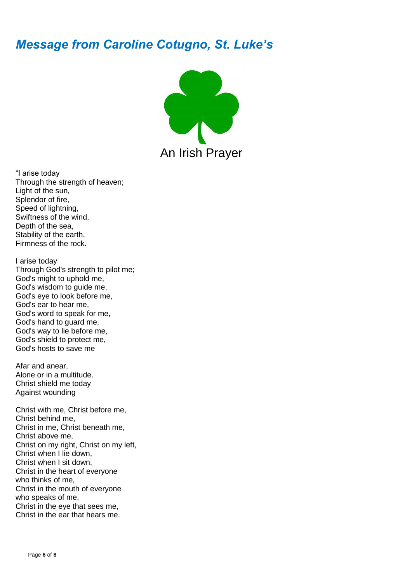## *Message from Caroline Cotugno, St. Luke's*



"I arise today Through the strength of heaven; Light of the sun, Splendor of fire, Speed of lightning, Swiftness of the wind, Depth of the sea, Stability of the earth, Firmness of the rock.

I arise today Through God's strength to pilot me; God's might to uphold me, God's wisdom to guide me, God's eye to look before me, God's ear to hear me, God's word to speak for me, God's hand to guard me, God's way to lie before me, God's shield to protect me, God's hosts to save me

Afar and anear, Alone or in a multitude. Christ shield me today Against wounding

Christ with me, Christ before me, Christ behind me, Christ in me, Christ beneath me, Christ above me, Christ on my right, Christ on my left, Christ when I lie down, Christ when I sit down, Christ in the heart of everyone who thinks of me, Christ in the mouth of everyone who speaks of me, Christ in the eye that sees me, Christ in the ear that hears me.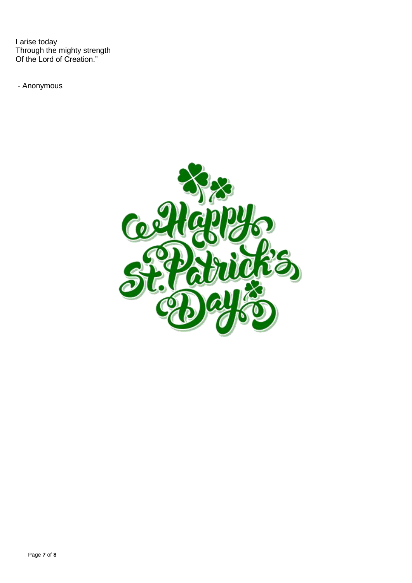I arise today Through the mighty strength Of the Lord of Creation."

- Anonymous